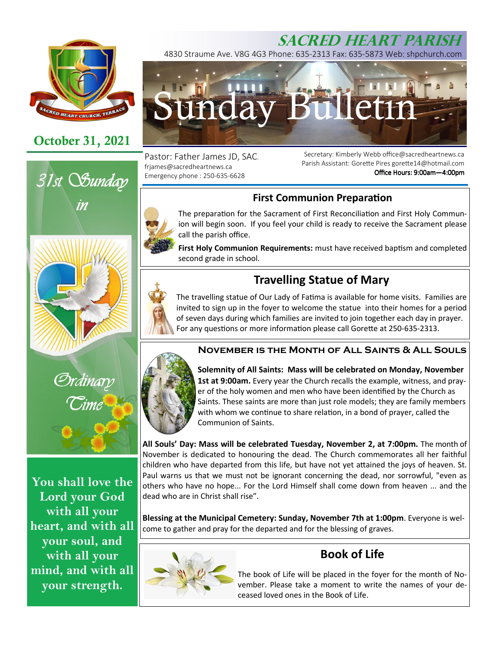

# **October 31, 2021**





**You shall love the Lord your God with all your heart, and with all your soul, and with all your mind, and with all your strength.** 



4830 Straume Ave. V8G 4G3 Phone: 635-2313 Fax: 635-5873 Web: shpchurch.com



Pastor: Father James JD, SAC. frjames@sacredheartnews.ca Emergency phone : 250-635-6628

Secretary: Kimberly Webb office@sacredheartnews.ca Parish Assistant: Gorette Pires gorette14@hotmail.com Office Hours: 9:00am-4:00pm

# **First Communion Preparation**



The preparation for the Sacrament of First Reconciliation and First Holy Communion will begin soon. If you feel your child is ready to receive the Sacrament please call the parish office.

First Holy Communion Requirements: must have received baptism and completed second grade in school.

# **Travelling Statue of Mary**

The travelling statue of Our Lady of Fatima is available for home visits. Families are invited to sign up in the foyer to welcome the statue into their homes for a period of seven days during which families are invited to join together each day in prayer. For any questions or more information please call Gorette at 250-635-2313.

## **November is the Month of All Saints & All Souls**



**Solemnity of All Saints: Mass will be celebrated on Monday, November 1st at 9:00am.** Every year the Church recalls the example, witness, and prayer of the holy women and men who have been identified by the Church as Saints. These saints are more than just role models; they are family members with whom we continue to share relation, in a bond of prayer, called the Communion of Saints.

**All Souls' Day: Mass will be celebrated Tuesday, November 2, at 7:00pm.** The month of November is dedicated to honouring the dead. The Church commemorates all her faithful children who have departed from this life, but have not yet attained the joys of heaven. St. Paul warns us that we must not be ignorant concerning the dead, nor sorrowful, "even as others who have no hope... For the Lord Himself shall come down from heaven ... and the dead who are in Christ shall rise".

**Blessing at the Municipal Cemetery: Sunday, November 7th at 1:00pm**. Everyone is welcome to gather and pray for the departed and for the blessing of graves.



# **Book of Life**

The book of Life will be placed in the foyer for the month of November. Please take a moment to write the names of your deceased loved ones in the Book of Life.